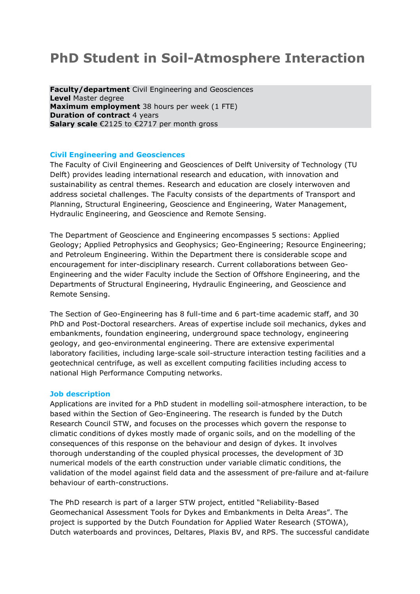# **PhD Student in Soil-Atmosphere Interaction**

**Faculty/department** Civil Engineering and Geosciences **Level** Master degree **Maximum employment** 38 hours per week (1 FTE) **Duration of contract 4 years Salary scale** €2125 to €2717 per month gross

### **Civil Engineering and Geosciences**

The Faculty of Civil Engineering and Geosciences of Delft University of Technology (TU Delft) provides leading international research and education, with innovation and sustainability as central themes. Research and education are closely interwoven and address societal challenges. The Faculty consists of the departments of Transport and Planning, Structural Engineering, Geoscience and Engineering, Water Management, Hydraulic Engineering, and Geoscience and Remote Sensing.

The Department of Geoscience and Engineering encompasses 5 sections: Applied Geology; Applied Petrophysics and Geophysics; Geo-Engineering; Resource Engineering; and Petroleum Engineering. Within the Department there is considerable scope and encouragement for inter-disciplinary research. Current collaborations between Geo-Engineering and the wider Faculty include the Section of Offshore Engineering, and the Departments of Structural Engineering, Hydraulic Engineering, and Geoscience and Remote Sensing.

The Section of Geo-Engineering has 8 full-time and 6 part-time academic staff, and 30 PhD and Post-Doctoral researchers. Areas of expertise include soil mechanics, dykes and embankments, foundation engineering, underground space technology, engineering geology, and geo-environmental engineering. There are extensive experimental laboratory facilities, including large-scale soil-structure interaction testing facilities and a geotechnical centrifuge, as well as excellent computing facilities including access to national High Performance Computing networks.

#### **Job description**

Applications are invited for a PhD student in modelling soil-atmosphere interaction, to be based within the Section of Geo-Engineering. The research is funded by the Dutch Research Council STW, and focuses on the processes which govern the response to climatic conditions of dykes mostly made of organic soils, and on the modelling of the consequences of this response on the behaviour and design of dykes. It involves thorough understanding of the coupled physical processes, the development of 3D numerical models of the earth construction under variable climatic conditions, the validation of the model against field data and the assessment of pre-failure and at-failure behaviour of earth-constructions.

The PhD research is part of a larger STW project, entitled "Reliability-Based Geomechanical Assessment Tools for Dykes and Embankments in Delta Areas". The project is supported by the Dutch Foundation for Applied Water Research (STOWA), Dutch waterboards and provinces, Deltares, Plaxis BV, and RPS. The successful candidate